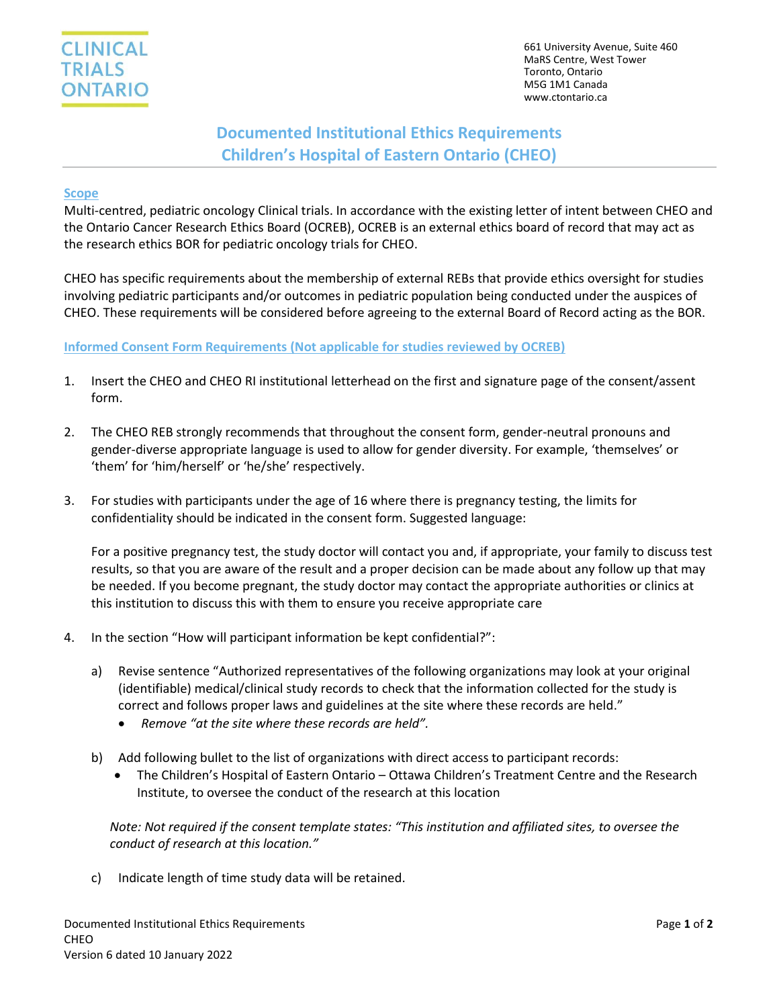

# **Documented Institutional Ethics Requirements Children's Hospital of Eastern Ontario (CHEO)**

#### **Scope**

Multi-centred, pediatric oncology Clinical trials. In accordance with the existing letter of intent between CHEO and the Ontario Cancer Research Ethics Board (OCREB), OCREB is an external ethics board of record that may act as the research ethics BOR for pediatric oncology trials for CHEO.

CHEO has specific requirements about the membership of external REBs that provide ethics oversight for studies involving pediatric participants and/or outcomes in pediatric population being conducted under the auspices of CHEO. These requirements will be considered before agreeing to the external Board of Record acting as the BOR.

#### **Informed Consent Form Requirements (Not applicable for studies reviewed by OCREB)**

- 1. Insert the CHEO and CHEO RI institutional letterhead on the first and signature page of the consent/assent form.
- 2. The CHEO REB strongly recommends that throughout the consent form, gender-neutral pronouns and gender-diverse appropriate language is used to allow for gender diversity. For example, 'themselves' or 'them' for 'him/herself' or 'he/she' respectively.
- 3. For studies with participants under the age of 16 where there is pregnancy testing, the limits for confidentiality should be indicated in the consent form. Suggested language:

For a positive pregnancy test, the study doctor will contact you and, if appropriate, your family to discuss test results, so that you are aware of the result and a proper decision can be made about any follow up that may be needed. If you become pregnant, the study doctor may contact the appropriate authorities or clinics at this institution to discuss this with them to ensure you receive appropriate care

- 4. In the section "How will participant information be kept confidential?":
	- a) Revise sentence "Authorized representatives of the following organizations may look at your original (identifiable) medical/clinical study records to check that the information collected for the study is correct and follows proper laws and guidelines at the site where these records are held."
		- *Remove "at the site where these records are held".*
	- b) Add following bullet to the list of organizations with direct access to participant records:
		- The Children's Hospital of Eastern Ontario Ottawa Children's Treatment Centre and the Research Institute, to oversee the conduct of the research at this location

*Note: Not required if the consent template states: "This institution and affiliated sites, to oversee the conduct of research at this location."*

c) Indicate length of time study data will be retained.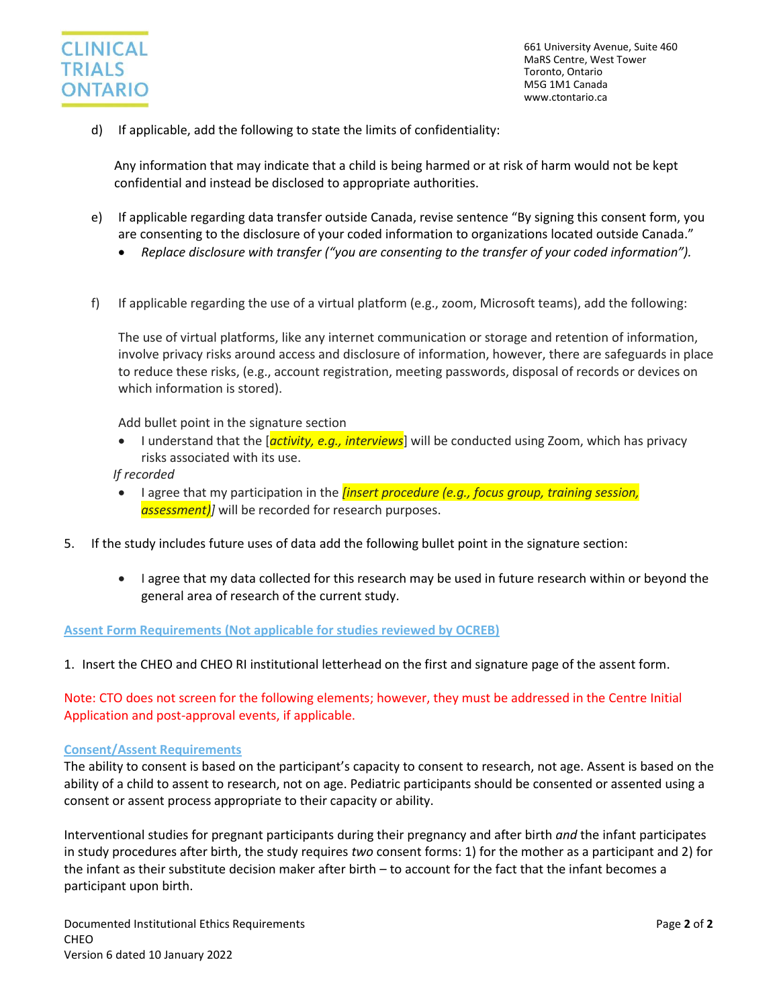

d) If applicable, add the following to state the limits of confidentiality:

Any information that may indicate that a child is being harmed or at risk of harm would not be kept confidential and instead be disclosed to appropriate authorities.

- e) If applicable regarding data transfer outside Canada, revise sentence "By signing this consent form, you are consenting to the disclosure of your coded information to organizations located outside Canada."
	- *Replace disclosure with transfer ("you are consenting to the transfer of your coded information").*
- f) If applicable regarding the use of a virtual platform (e.g., zoom, Microsoft teams), add the following:

The use of virtual platforms, like any internet communication or storage and retention of information, involve privacy risks around access and disclosure of information, however, there are safeguards in place to reduce these risks, (e.g., account registration, meeting passwords, disposal of records or devices on which information is stored).

Add bullet point in the signature section

 I understand that the [*activity, e.g., interviews*] will be conducted using Zoom, which has privacy risks associated with its use.

*If recorded*

- I agree that my participation in the *[insert procedure (e.g., focus group, training session, assessment)]* will be recorded for research purposes.
- 5. If the study includes future uses of data add the following bullet point in the signature section:
	- I agree that my data collected for this research may be used in future research within or beyond the general area of research of the current study.

**Assent Form Requirements (Not applicable for studies reviewed by OCREB)**

1. Insert the CHEO and CHEO RI institutional letterhead on the first and signature page of the assent form.

Note: CTO does not screen for the following elements; however, they must be addressed in the Centre Initial Application and post-approval events, if applicable.

#### **Consent/Assent Requirements**

The ability to consent is based on the participant's capacity to consent to research, not age. Assent is based on the ability of a child to assent to research, not on age. Pediatric participants should be consented or assented using a consent or assent process appropriate to their capacity or ability.

Interventional studies for pregnant participants during their pregnancy and after birth *and* the infant participates in study procedures after birth, the study requires *two* consent forms: 1) for the mother as a participant and 2) for the infant as their substitute decision maker after birth – to account for the fact that the infant becomes a participant upon birth.

Documented Institutional Ethics Requirements Page **2** of **2** CHEO Version 6 dated 10 January 2022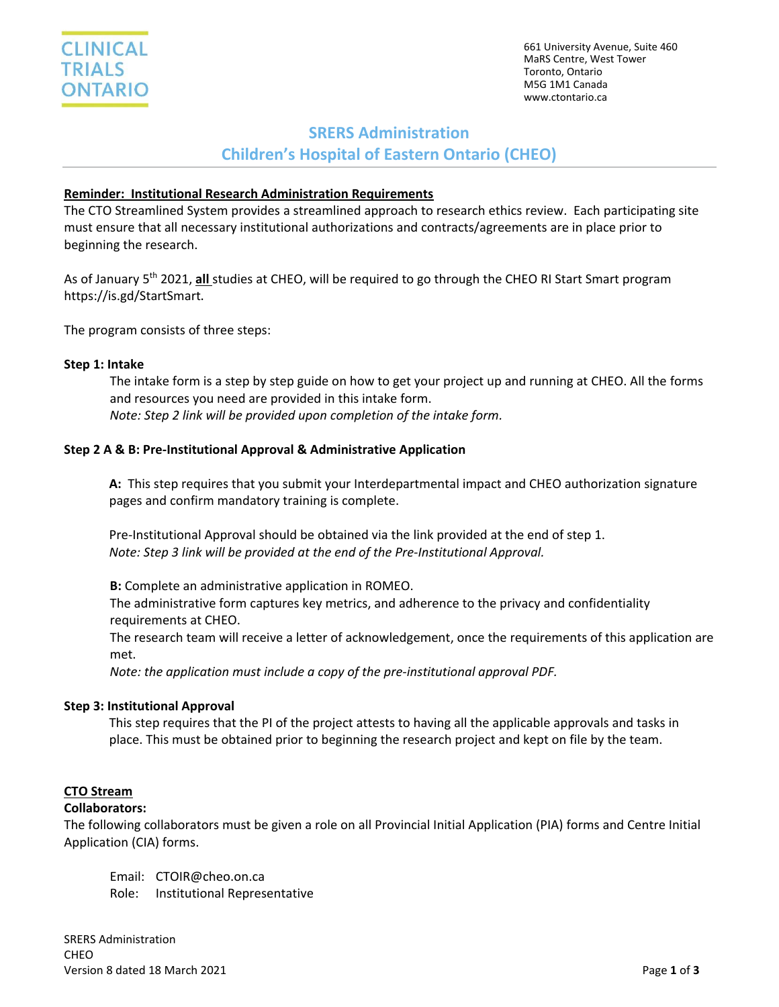## **SRERS Administration**

**Children's Hospital of Eastern Ontario (CHEO)**

### **Reminder: Institutional Research Administration Requirements**

The CTO Streamlined System provides a streamlined approach to research ethics review. Each participating site must ensure that all necessary institutional authorizations and contracts/agreements are in place prior to beginning the research.

As of January 5th 2021, **all** studies at CHEO, will be required to go through the CHEO RI Start Smart program https://is.gd/StartSmart.

The program consists of three steps:

#### **Step 1: Intake**

The intake form is a step by step guide on how to get your project up and running at CHEO. All the forms and resources you need are provided in this intake form. *Note: Step 2 link will be provided upon completion of the intake form.*

### **Step 2 A & B: Pre-Institutional Approval & Administrative Application**

**A:** This step requires that you submit your Interdepartmental impact and CHEO authorization signature pages and confirm mandatory training is complete.

Pre-Institutional Approval should be obtained via the link provided at the end of step 1. *Note: Step 3 link will be provided at the end of the Pre-Institutional Approval.*

**B:** Complete an administrative application in ROMEO. The administrative form captures key metrics, and adherence to the privacy and confidentiality requirements at CHEO.

The research team will receive a letter of acknowledgement, once the requirements of this application are met.

*Note: the application must include a copy of the pre-institutional approval PDF.*

#### **Step 3: Institutional Approval**

This step requires that the PI of the project attests to having all the applicable approvals and tasks in place. This must be obtained prior to beginning the research project and kept on file by the team.

#### **CTO Stream**

#### **Collaborators:**

The following collaborators must be given a role on all Provincial Initial Application (PIA) forms and Centre Initial Application (CIA) forms.

Email: CTOIR@cheo.on.ca Role: Institutional Representative

SRERS Administration **CHEO** Version 8 dated 18 March 2021 Page **1** of **3**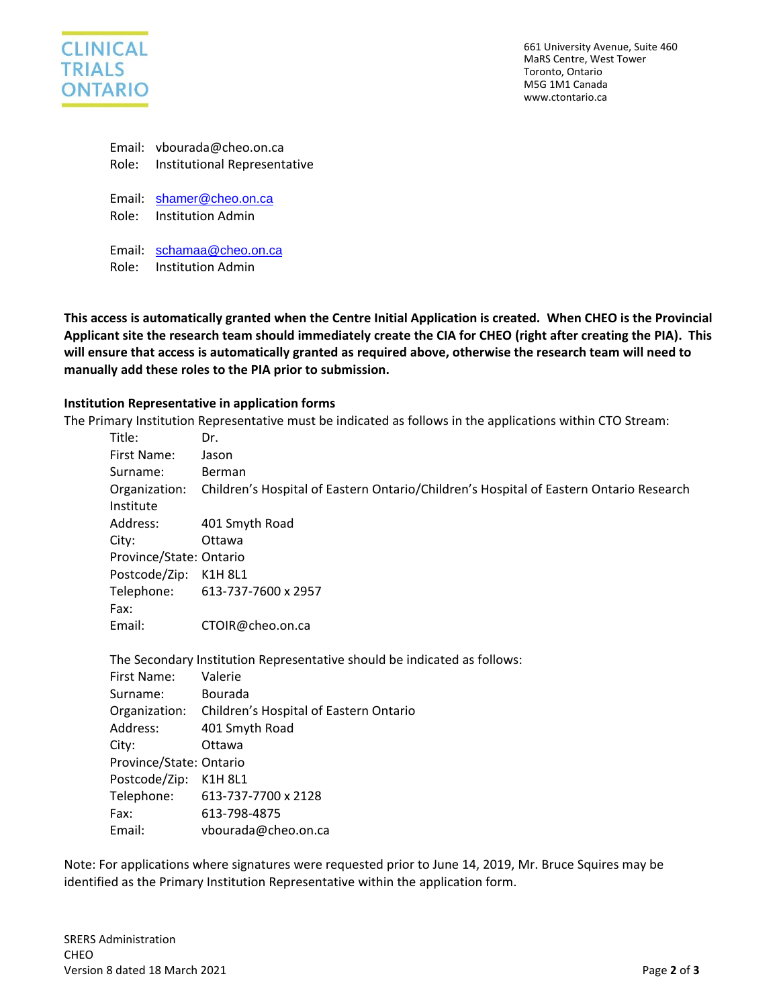

|         | Email: vbourada@cheo.on.ca   |
|---------|------------------------------|
| Role: . | Institutional Representative |

Email: [shamer@cheo.on.ca](mailto:shamer@cheo.on.ca) Role: Institution Admin

Email: [schamaa@cheo.on.ca](mailto:schamaa@cheo.on.ca)

Role: Institution Admin

**This access is automatically granted when the Centre Initial Application is created. When CHEO is the Provincial Applicant site the research team should immediately create the CIA for CHEO (right after creating the PIA). This will ensure that access is automatically granted as required above, otherwise the research team will need to manually add these roles to the PIA prior to submission.**

#### **Institution Representative in application forms**

The Primary Institution Representative must be indicated as follows in the applications within CTO Stream:

| Title:                  | Dr.                                                                                    |
|-------------------------|----------------------------------------------------------------------------------------|
| First Name:             | Jason                                                                                  |
| Surname:                | Berman                                                                                 |
| Organization:           | Children's Hospital of Eastern Ontario/Children's Hospital of Eastern Ontario Research |
| Institute               |                                                                                        |
| Address:                | 401 Smyth Road                                                                         |
| City:                   | Ottawa                                                                                 |
| Province/State: Ontario |                                                                                        |
| Postcode/Zip:           | K1H 8L1                                                                                |
|                         | Telephone: 613-737-7600 x 2957                                                         |
| Fax:                    |                                                                                        |
| Email:                  | CTOIR@cheo.on.ca                                                                       |
|                         | The Secondary Institution Representative should be indicated as follows:               |
| First Name:             | Valerie                                                                                |
| Surname:                | Bourada                                                                                |
|                         | Organization: Children's Hospital of Eastern Ontario                                   |
| Address:                | 401 Smyth Road                                                                         |
| City:                   | Ottawa                                                                                 |
| Province/State: Ontario |                                                                                        |
| Postcode/Zip:           | K1H 8L1                                                                                |

Telephone: 613-737-7700 x 2128 Fax: 613-798-4875 Email: vbourada@cheo.on.ca

Note: For applications where signatures were requested prior to June 14, 2019, Mr. Bruce Squires may be identified as the Primary Institution Representative within the application form.